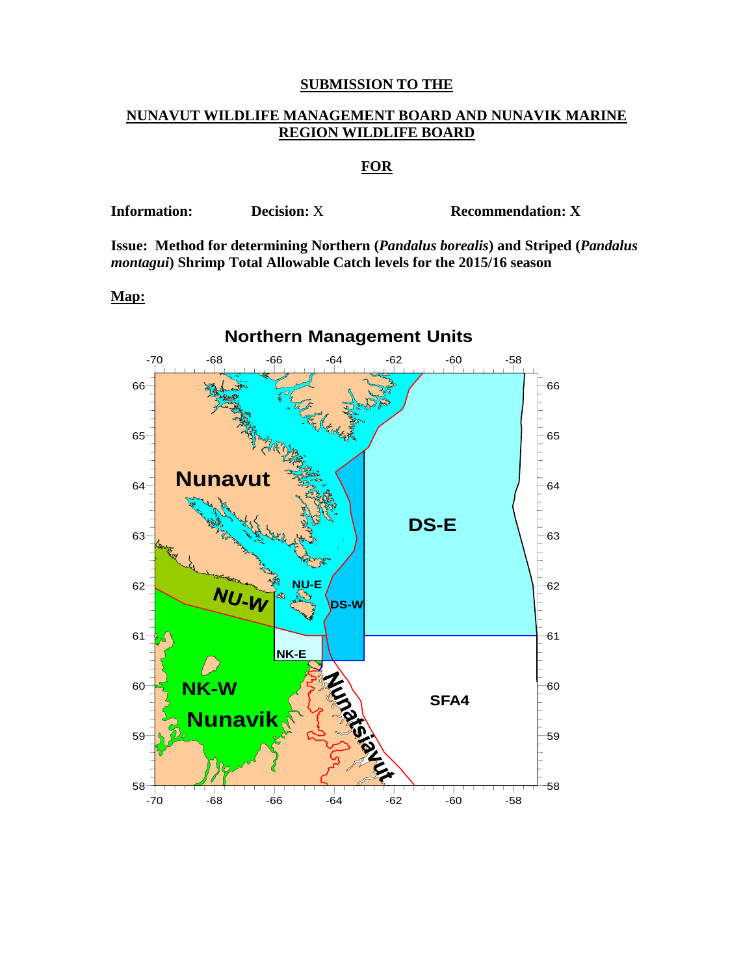## **SUBMISSION TO THE**

## **NUNAVUT WILDLIFE MANAGEMENT BOARD AND NUNAVIK MARINE REGION WILDLIFE BOARD**

## **FOR**

**Information:** Decision: X **Recommendation: X** 

**Issue: Method for determining Northern (***Pandalus borealis***) and Striped (***Pandalus montagui***) Shrimp Total Allowable Catch levels for the 2015/16 season**

#### **Map:**



# **Northern Management Units**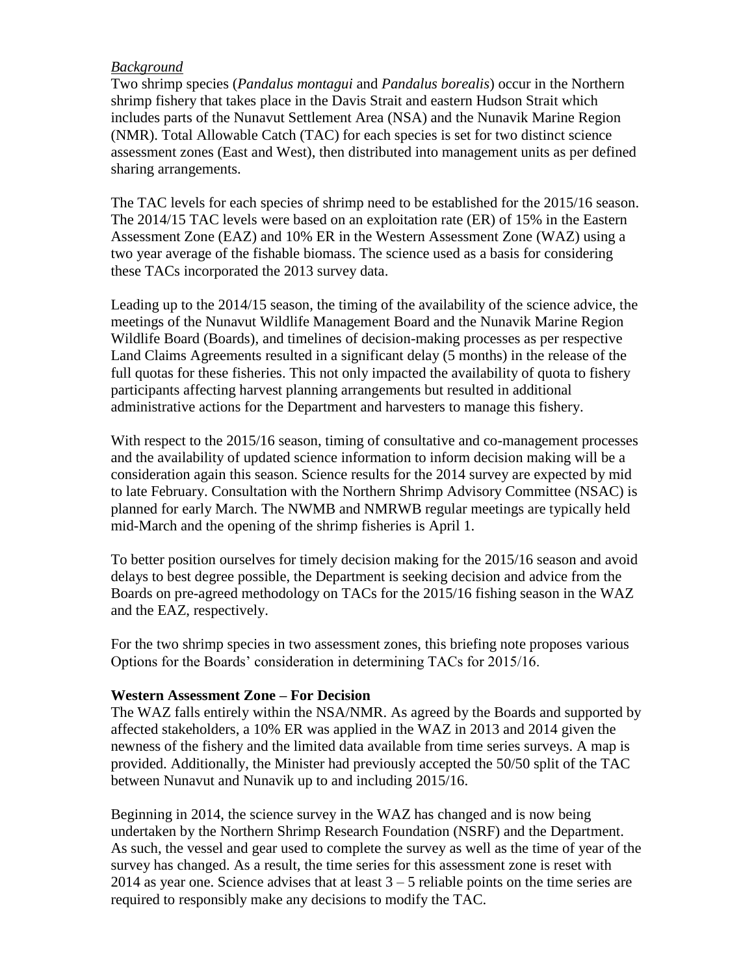## *Background*

Two shrimp species (*Pandalus montagui* and *Pandalus borealis*) occur in the Northern shrimp fishery that takes place in the Davis Strait and eastern Hudson Strait which includes parts of the Nunavut Settlement Area (NSA) and the Nunavik Marine Region (NMR). Total Allowable Catch (TAC) for each species is set for two distinct science assessment zones (East and West), then distributed into management units as per defined sharing arrangements.

The TAC levels for each species of shrimp need to be established for the 2015/16 season. The 2014/15 TAC levels were based on an exploitation rate (ER) of 15% in the Eastern Assessment Zone (EAZ) and 10% ER in the Western Assessment Zone (WAZ) using a two year average of the fishable biomass. The science used as a basis for considering these TACs incorporated the 2013 survey data.

Leading up to the 2014/15 season, the timing of the availability of the science advice, the meetings of the Nunavut Wildlife Management Board and the Nunavik Marine Region Wildlife Board (Boards), and timelines of decision-making processes as per respective Land Claims Agreements resulted in a significant delay (5 months) in the release of the full quotas for these fisheries. This not only impacted the availability of quota to fishery participants affecting harvest planning arrangements but resulted in additional administrative actions for the Department and harvesters to manage this fishery.

With respect to the 2015/16 season, timing of consultative and co-management processes and the availability of updated science information to inform decision making will be a consideration again this season. Science results for the 2014 survey are expected by mid to late February. Consultation with the Northern Shrimp Advisory Committee (NSAC) is planned for early March. The NWMB and NMRWB regular meetings are typically held mid-March and the opening of the shrimp fisheries is April 1.

To better position ourselves for timely decision making for the 2015/16 season and avoid delays to best degree possible, the Department is seeking decision and advice from the Boards on pre-agreed methodology on TACs for the 2015/16 fishing season in the WAZ and the EAZ, respectively.

For the two shrimp species in two assessment zones, this briefing note proposes various Options for the Boards' consideration in determining TACs for 2015/16.

### **Western Assessment Zone – For Decision**

The WAZ falls entirely within the NSA/NMR. As agreed by the Boards and supported by affected stakeholders, a 10% ER was applied in the WAZ in 2013 and 2014 given the newness of the fishery and the limited data available from time series surveys. A map is provided. Additionally, the Minister had previously accepted the 50/50 split of the TAC between Nunavut and Nunavik up to and including 2015/16.

Beginning in 2014, the science survey in the WAZ has changed and is now being undertaken by the Northern Shrimp Research Foundation (NSRF) and the Department. As such, the vessel and gear used to complete the survey as well as the time of year of the survey has changed. As a result, the time series for this assessment zone is reset with 2014 as year one. Science advises that at least  $3 - 5$  reliable points on the time series are required to responsibly make any decisions to modify the TAC.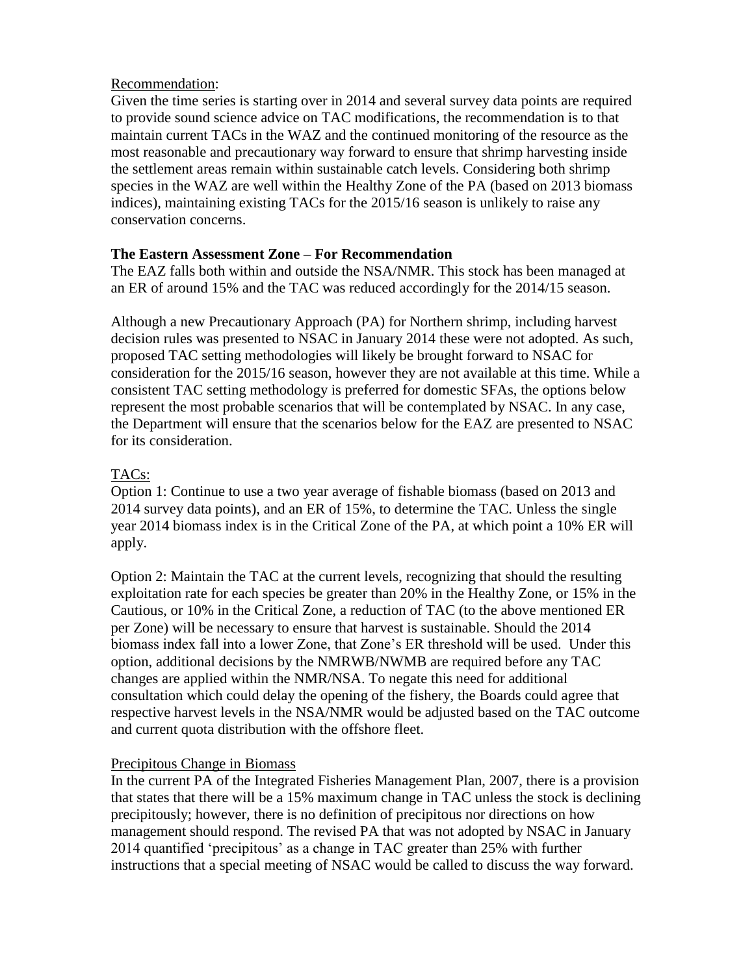## Recommendation:

Given the time series is starting over in 2014 and several survey data points are required to provide sound science advice on TAC modifications, the recommendation is to that maintain current TACs in the WAZ and the continued monitoring of the resource as the most reasonable and precautionary way forward to ensure that shrimp harvesting inside the settlement areas remain within sustainable catch levels. Considering both shrimp species in the WAZ are well within the Healthy Zone of the PA (based on 2013 biomass indices), maintaining existing TACs for the 2015/16 season is unlikely to raise any conservation concerns.

## **The Eastern Assessment Zone – For Recommendation**

The EAZ falls both within and outside the NSA/NMR. This stock has been managed at an ER of around 15% and the TAC was reduced accordingly for the 2014/15 season.

Although a new Precautionary Approach (PA) for Northern shrimp, including harvest decision rules was presented to NSAC in January 2014 these were not adopted. As such, proposed TAC setting methodologies will likely be brought forward to NSAC for consideration for the 2015/16 season, however they are not available at this time. While a consistent TAC setting methodology is preferred for domestic SFAs, the options below represent the most probable scenarios that will be contemplated by NSAC. In any case, the Department will ensure that the scenarios below for the EAZ are presented to NSAC for its consideration.

## TACs:

Option 1: Continue to use a two year average of fishable biomass (based on 2013 and 2014 survey data points), and an ER of 15%, to determine the TAC. Unless the single year 2014 biomass index is in the Critical Zone of the PA, at which point a 10% ER will apply.

Option 2: Maintain the TAC at the current levels, recognizing that should the resulting exploitation rate for each species be greater than 20% in the Healthy Zone, or 15% in the Cautious, or 10% in the Critical Zone, a reduction of TAC (to the above mentioned ER per Zone) will be necessary to ensure that harvest is sustainable. Should the 2014 biomass index fall into a lower Zone, that Zone's ER threshold will be used. Under this option, additional decisions by the NMRWB/NWMB are required before any TAC changes are applied within the NMR/NSA. To negate this need for additional consultation which could delay the opening of the fishery, the Boards could agree that respective harvest levels in the NSA/NMR would be adjusted based on the TAC outcome and current quota distribution with the offshore fleet.

## Precipitous Change in Biomass

In the current PA of the Integrated Fisheries Management Plan, 2007, there is a provision that states that there will be a 15% maximum change in TAC unless the stock is declining precipitously; however, there is no definition of precipitous nor directions on how management should respond. The revised PA that was not adopted by NSAC in January 2014 quantified 'precipitous' as a change in TAC greater than 25% with further instructions that a special meeting of NSAC would be called to discuss the way forward.